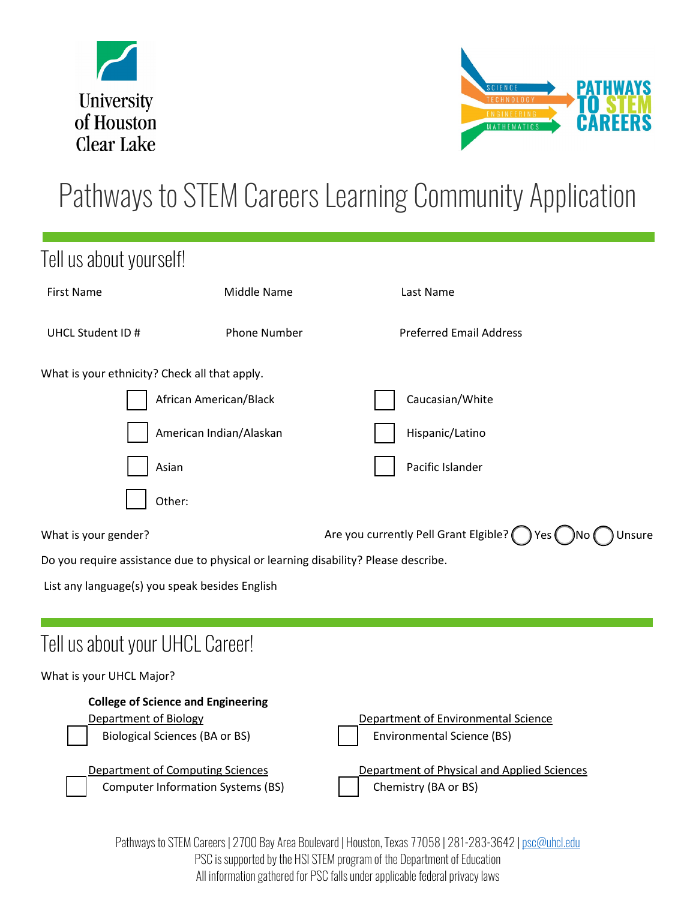



## Pathways to STEM Careers Learning Community Application

| Tell us about yourself!                                                            |                                                                                     |                                                                          |        |  |
|------------------------------------------------------------------------------------|-------------------------------------------------------------------------------------|--------------------------------------------------------------------------|--------|--|
| <b>First Name</b>                                                                  | Middle Name                                                                         | Last Name                                                                |        |  |
| UHCL Student ID #                                                                  | <b>Phone Number</b>                                                                 | <b>Preferred Email Address</b>                                           |        |  |
| What is your ethnicity? Check all that apply.                                      |                                                                                     |                                                                          |        |  |
|                                                                                    | African American/Black                                                              | Caucasian/White                                                          |        |  |
|                                                                                    | American Indian/Alaskan                                                             | Hispanic/Latino                                                          |        |  |
|                                                                                    | Asian                                                                               | Pacific Islander                                                         |        |  |
|                                                                                    | Other:                                                                              |                                                                          |        |  |
| What is your gender?                                                               |                                                                                     | Are you currently Pell Grant Elgible? $\bigcirc$ Yes $\bigcirc$ No (     | Unsure |  |
| Do you require assistance due to physical or learning disability? Please describe. |                                                                                     |                                                                          |        |  |
| List any language(s) you speak besides English                                     |                                                                                     |                                                                          |        |  |
|                                                                                    |                                                                                     |                                                                          |        |  |
| Tell us about your UHCL Career!                                                    |                                                                                     |                                                                          |        |  |
| What is your UHCL Major?                                                           |                                                                                     |                                                                          |        |  |
| <b>Department of Biology</b>                                                       | <b>College of Science and Engineering</b><br><b>Biological Sciences (BA or BS)</b>  | Department of Environmental Science<br><b>Environmental Science (BS)</b> |        |  |
|                                                                                    | <b>Department of Computing Sciences</b><br><b>Computer Information Systems (BS)</b> | Department of Physical and Applied Sciences<br>Chemistry (BA or BS)      |        |  |

Pathways to STEM Careers | 2700 Bay Area Boulevard | Houston, Texas 77058 | 281-283-3642 [| psc@uhcl.edu](mailto:psc@uhcl.edu) PSC is supported by the HSI STEM program of the Department of Education All information gathered for PSC falls under applicable federal privacy laws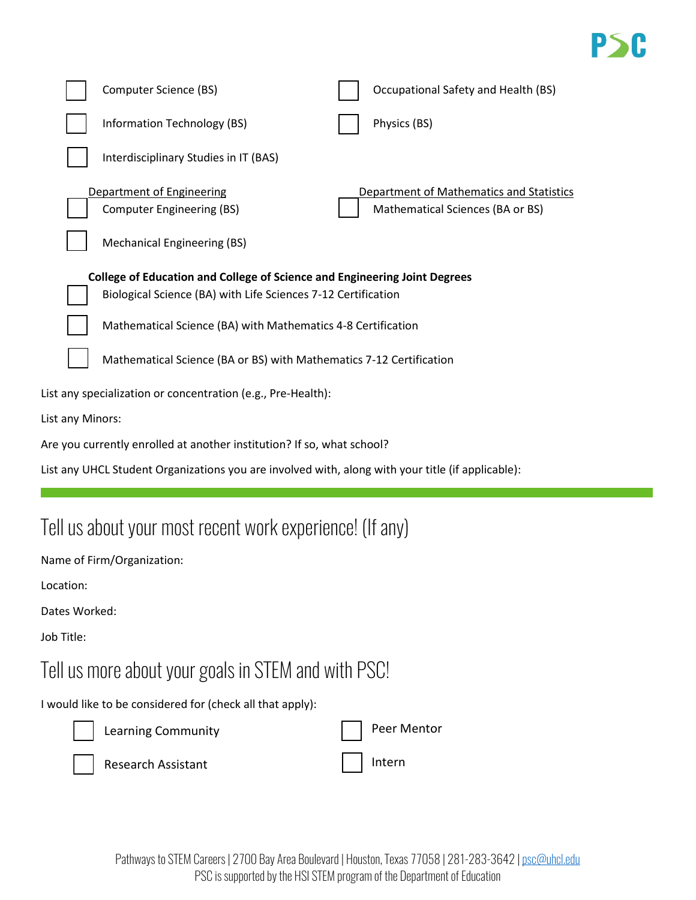## P>E

| Computer Science (BS)                                                            | Occupational Safety and Health (BS)                          |  |  |  |  |
|----------------------------------------------------------------------------------|--------------------------------------------------------------|--|--|--|--|
| Information Technology (BS)                                                      | Physics (BS)                                                 |  |  |  |  |
| Interdisciplinary Studies in IT (BAS)                                            |                                                              |  |  |  |  |
| Department of Engineering                                                        | Department of Mathematics and Statistics                     |  |  |  |  |
| <b>Computer Engineering (BS)</b>                                                 | Mathematical Sciences (BA or BS)                             |  |  |  |  |
| <b>Mechanical Engineering (BS)</b>                                               |                                                              |  |  |  |  |
| <b>College of Education and College of Science and Engineering Joint Degrees</b> |                                                              |  |  |  |  |
| Biological Science (BA) with Life Sciences 7-12 Certification                    |                                                              |  |  |  |  |
|                                                                                  | Mathematical Science (BA) with Mathematics 4-8 Certification |  |  |  |  |
| Mathematical Science (BA or BS) with Mathematics 7-12 Certification              |                                                              |  |  |  |  |
| List any specialization or concentration (e.g., Pre-Health):                     |                                                              |  |  |  |  |
| List any Minors:                                                                 |                                                              |  |  |  |  |
| Are you currently enrolled at another institution? If so, what school?           |                                                              |  |  |  |  |

List any UHCL Student Organizations you are involved with, along with your title (if applicable):

## Tell us about your most recent work experience! (If any)

Name of Firm/Organization:

Location:

Dates Worked:

Job Title:

## Tell us more about your goals in STEM and with PSC!

I would like to be considered for (check all that apply):